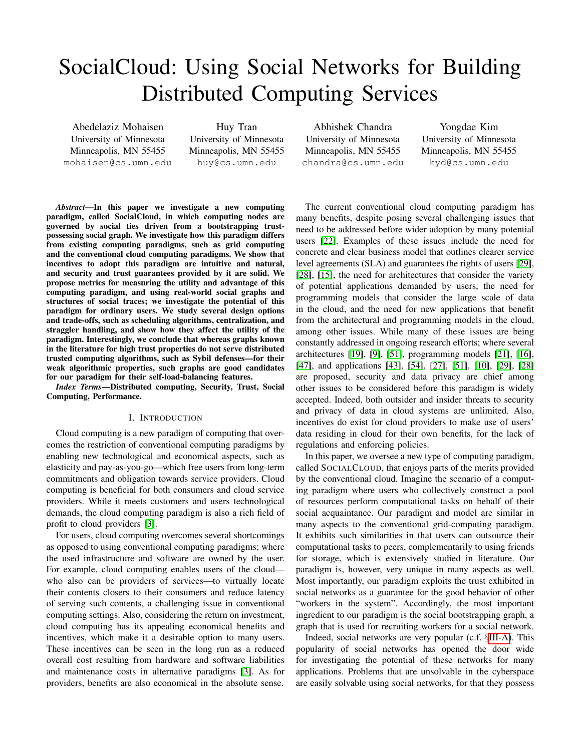# SocialCloud: Using Social Networks for Building Distributed Computing Services

Abedelaziz Mohaisen University of Minnesota Minneapolis, MN 55455 mohaisen@cs.umn.edu

Huy Tran University of Minnesota Minneapolis, MN 55455 huy@cs.umn.edu

Abhishek Chandra University of Minnesota Minneapolis, MN 55455 chandra@cs.umn.edu

Yongdae Kim University of Minnesota Minneapolis, MN 55455 kyd@cs.umn.edu

*Abstract*—In this paper we investigate a new computing paradigm, called SocialCloud, in which computing nodes are governed by social ties driven from a bootstrapping trustpossessing social graph. We investigate how this paradigm differs from existing computing paradigms, such as grid computing and the conventional cloud computing paradigms. We show that incentives to adopt this paradigm are intuitive and natural, and security and trust guarantees provided by it are solid. We propose metrics for measuring the utility and advantage of this computing paradigm, and using real-world social graphs and structures of social traces; we investigate the potential of this paradigm for ordinary users. We study several design options and trade-offs, such as scheduling algorithms, centralization, and straggler handling, and show how they affect the utility of the paradigm. Interestingly, we conclude that whereas graphs known in the literature for high trust properties do not serve distributed trusted computing algorithms, such as Sybil defenses—for their weak algorithmic properties, such graphs are good candidates for our paradigm for their self-load-balancing features.

*Index Terms*—Distributed computing, Security, Trust, Social Computing, Performance.

### I. INTRODUCTION

Cloud computing is a new paradigm of computing that overcomes the restriction of conventional computing paradigms by enabling new technological and economical aspects, such as elasticity and pay-as-you-go—which free users from long-term commitments and obligation towards service providers. Cloud computing is beneficial for both consumers and cloud service providers. While it meets customers and users technological demands, the cloud computing paradigm is also a rich field of profit to cloud providers [\[3\]](#page-9-0).

For users, cloud computing overcomes several shortcomings as opposed to using conventional computing paradigms; where the used infrastructure and software are owned by the user. For example, cloud computing enables users of the cloud who also can be providers of services—to virtually locate their contents closers to their consumers and reduce latency of serving such contents, a challenging issue in conventional computing settings. Also, considering the return on investment, cloud computing has its appealing economical benefits and incentives, which make it a desirable option to many users. These incentives can be seen in the long run as a reduced overall cost resulting from hardware and software liabilities and maintenance costs in alternative paradigms [\[3\]](#page-9-0). As for providers, benefits are also economical in the absolute sense.

The current conventional cloud computing paradigm has many benefits, despite posing several challenging issues that need to be addressed before wider adoption by many potential users [\[22\]](#page-10-0). Examples of these issues include the need for concrete and clear business model that outlines clearer service level agreements (SLA) and guarantees the rights of users [\[29\]](#page-10-1), [\[28\]](#page-10-2), [\[15\]](#page-10-3), the need for architectures that consider the variety of potential applications demanded by users, the need for programming models that consider the large scale of data in the cloud, and the need for new applications that benefit from the architectural and programming models in the cloud, among other issues. While many of these issues are being constantly addressed in ongoing research efforts; where several architectures [\[19\]](#page-10-4), [\[9\]](#page-10-5), [\[51\]](#page-10-6), programming models [\[21\]](#page-10-7), [\[16\]](#page-10-8), [\[47\]](#page-10-9), and applications [\[43\]](#page-10-10), [\[54\]](#page-10-11), [\[27\]](#page-10-12), [\[51\]](#page-10-6), [\[10\]](#page-10-13), [\[29\]](#page-10-1), [\[28\]](#page-10-2) are proposed, security and data privacy are chief among other issues to be considered before this paradigm is widely accepted. Indeed, both outsider and insider threats to security and privacy of data in cloud systems are unlimited. Also, incentives do exist for cloud providers to make use of users' data residing in cloud for their own benefits, for the lack of regulations and enforcing policies.

In this paper, we oversee a new type of computing paradigm, called SOCIALCLOUD, that enjoys parts of the merits provided by the conventional cloud. Imagine the scenario of a computing paradigm where users who collectively construct a pool of resources perform computational tasks on behalf of their social acquaintance. Our paradigm and model are similar in many aspects to the conventional grid-computing paradigm. It exhibits such similarities in that users can outsource their computational tasks to peers, complementarily to using friends for storage, which is extensively studied in literature. Our paradigm is, however, very unique in many aspects as well. Most importantly, our paradigm exploits the trust exhibited in social networks as a guarantee for the good behavior of other "workers in the system". Accordingly, the most important ingredient to our paradigm is the social bootstrapping graph, a graph that is used for recruiting workers for a social network.

Indeed, social networks are very popular (c.f. §[III-A\)](#page-2-0). This popularity of social networks has opened the door wide for investigating the potential of these networks for many applications. Problems that are unsolvable in the cyberspace are easily solvable using social networks, for that they possess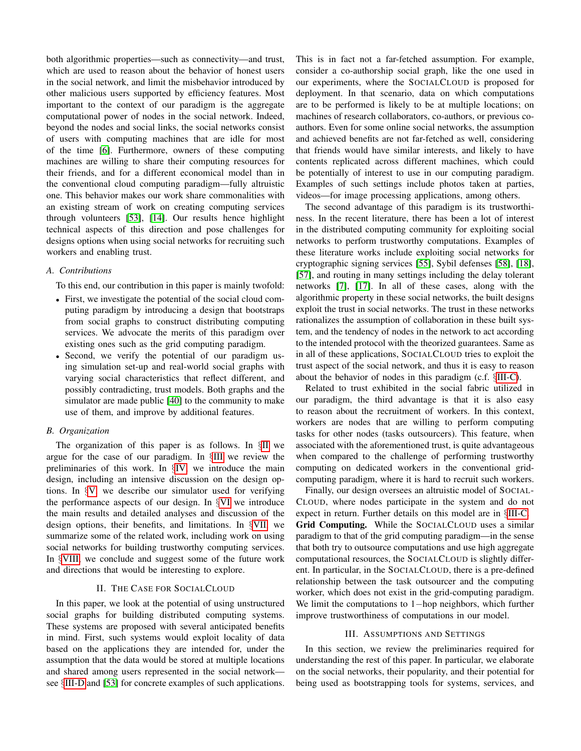both algorithmic properties—such as connectivity—and trust, which are used to reason about the behavior of honest users in the social network, and limit the misbehavior introduced by other malicious users supported by efficiency features. Most important to the context of our paradigm is the aggregate computational power of nodes in the social network. Indeed, beyond the nodes and social links, the social networks consist of users with computing machines that are idle for most of the time [\[6\]](#page-10-14). Furthermore, owners of these computing machines are willing to share their computing resources for their friends, and for a different economical model than in the conventional cloud computing paradigm—fully altruistic one. This behavior makes our work share commonalities with an existing stream of work on creating computing services through volunteers [\[53\]](#page-10-15), [\[14\]](#page-10-16). Our results hence highlight technical aspects of this direction and pose challenges for designs options when using social networks for recruiting such workers and enabling trust.

## *A. Contributions*

To this end, our contribution in this paper is mainly twofold:

- First, we investigate the potential of the social cloud computing paradigm by introducing a design that bootstraps from social graphs to construct distributing computing services. We advocate the merits of this paradigm over existing ones such as the grid computing paradigm.
- Second, we verify the potential of our paradigm using simulation set-up and real-world social graphs with varying social characteristics that reflect different, and possibly contradicting, trust models. Both graphs and the simulator are made public [\[40\]](#page-10-17) to the community to make use of them, and improve by additional features.

#### *B. Organization*

The organization of this paper is as follows. In §[II](#page-1-0) we argue for the case of our paradigm. In §[III](#page-1-1) we review the preliminaries of this work. In §[IV,](#page-3-0) we introduce the main design, including an intensive discussion on the design options. In §[V,](#page-4-0) we describe our simulator used for verifying the performance aspects of our design. In §[VI](#page-5-0) we introduce the main results and detailed analyses and discussion of the design options, their benefits, and limitations. In §[VII,](#page-8-0) we summarize some of the related work, including work on using social networks for building trustworthy computing services. In §[VIII,](#page-8-1) we conclude and suggest some of the future work and directions that would be interesting to explore.

## II. THE CASE FOR SOCIALCLOUD

<span id="page-1-0"></span>In this paper, we look at the potential of using unstructured social graphs for building distributed computing systems. These systems are proposed with several anticipated benefits in mind. First, such systems would exploit locality of data based on the applications they are intended for, under the assumption that the data would be stored at multiple locations and shared among users represented in the social network see §[III-D](#page-2-1) and [\[53\]](#page-10-15) for concrete examples of such applications. This is in fact not a far-fetched assumption. For example, consider a co-authorship social graph, like the one used in our experiments, where the SOCIALCLOUD is proposed for deployment. In that scenario, data on which computations are to be performed is likely to be at multiple locations; on machines of research collaborators, co-authors, or previous coauthors. Even for some online social networks, the assumption and achieved benefits are not far-fetched as well, considering that friends would have similar interests, and likely to have contents replicated across different machines, which could be potentially of interest to use in our computing paradigm. Examples of such settings include photos taken at parties, videos—for image processing applications, among others.

The second advantage of this paradigm is its trustworthiness. In the recent literature, there has been a lot of interest in the distributed computing community for exploiting social networks to perform trustworthy computations. Examples of these literature works include exploiting social networks for cryptographic signing services [\[55\]](#page-10-18), Sybil defenses [\[58\]](#page-10-19), [\[18\]](#page-10-20), [\[57\]](#page-10-21), and routing in many settings including the delay tolerant networks [\[7\]](#page-10-22), [\[17\]](#page-10-23). In all of these cases, along with the algorithmic property in these social networks, the built designs exploit the trust in social networks. The trust in these networks rationalizes the assumption of collaboration in these built system, and the tendency of nodes in the network to act according to the intended protocol with the theorized guarantees. Same as in all of these applications, SOCIALCLOUD tries to exploit the trust aspect of the social network, and thus it is easy to reason about the behavior of nodes in this paradigm (c.f. §[III-C\)](#page-2-2).

Related to trust exhibited in the social fabric utilized in our paradigm, the third advantage is that it is also easy to reason about the recruitment of workers. In this context, workers are nodes that are willing to perform computing tasks for other nodes (tasks outsourcers). This feature, when associated with the aforementioned trust, is quite advantageous when compared to the challenge of performing trustworthy computing on dedicated workers in the conventional gridcomputing paradigm, where it is hard to recruit such workers.

Finally, our design oversees an altruistic model of SOCIAL-CLOUD, where nodes participate in the system and do not expect in return. Further details on this model are in §[III-C.](#page-2-2) Grid Computing. While the SOCIALCLOUD uses a similar paradigm to that of the grid computing paradigm—in the sense that both try to outsource computations and use high aggregate computational resources, the SOCIALCLOUD is slightly different. In particular, in the SOCIALCLOUD, there is a pre-defined relationship between the task outsourcer and the computing worker, which does not exist in the grid-computing paradigm. We limit the computations to 1−hop neighbors, which further improve trustworthiness of computations in our model.

#### III. ASSUMPTIONS AND SETTINGS

<span id="page-1-1"></span>In this section, we review the preliminaries required for understanding the rest of this paper. In particular, we elaborate on the social networks, their popularity, and their potential for being used as bootstrapping tools for systems, services, and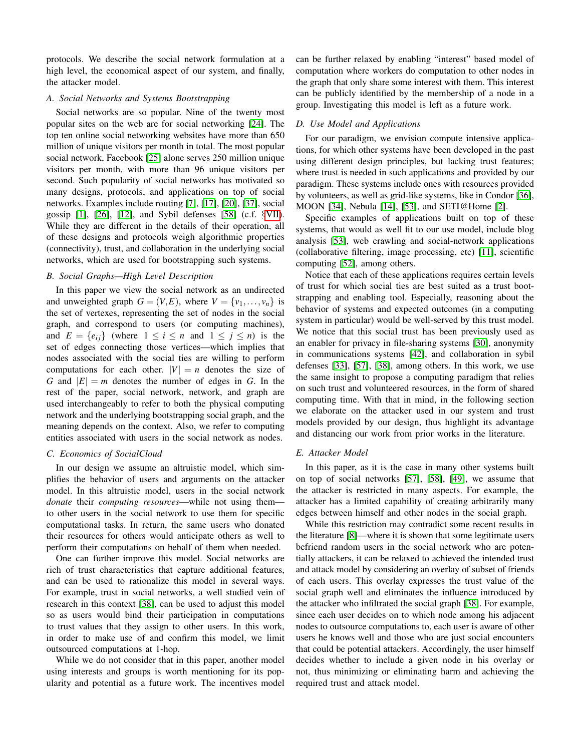protocols. We describe the social network formulation at a high level, the economical aspect of our system, and finally, the attacker model.

### <span id="page-2-0"></span>*A. Social Networks and Systems Bootstrapping*

Social networks are so popular. Nine of the twenty most popular sites on the web are for social networking [\[24\]](#page-10-24). The top ten online social networking websites have more than 650 million of unique visitors per month in total. The most popular social network, Facebook [\[25\]](#page-10-25) alone serves 250 million unique visitors per month, with more than 96 unique visitors per second. Such popularity of social networks has motivated so many designs, protocols, and applications on top of social networks. Examples include routing [\[7\]](#page-10-22), [\[17\]](#page-10-23), [\[20\]](#page-10-26), [\[37\]](#page-10-27), social gossip  $[1]$ ,  $[26]$ ,  $[12]$ , and Sybil defenses  $[58]$  (c.f.  $\S$ [VII\)](#page-8-0). While they are different in the details of their operation, all of these designs and protocols weigh algorithmic properties (connectivity), trust, and collaboration in the underlying social networks, which are used for bootstrapping such systems.

### *B. Social Graphs—High Level Description*

In this paper we view the social network as an undirected and unweighted graph  $G = (V, E)$ , where  $V = \{v_1, \ldots, v_n\}$  is the set of vertexes, representing the set of nodes in the social graph, and correspond to users (or computing machines), and  $E = \{e_{ij}\}\$  (where  $1 \leq i \leq n$  and  $1 \leq j \leq n$ ) is the set of edges connecting those vertices—which implies that nodes associated with the social ties are willing to perform computations for each other.  $|V| = n$  denotes the size of *G* and  $|E| = m$  denotes the number of edges in *G*. In the rest of the paper, social network, network, and graph are used interchangeably to refer to both the physical computing network and the underlying bootstrapping social graph, and the meaning depends on the context. Also, we refer to computing entities associated with users in the social network as nodes.

#### <span id="page-2-2"></span>*C. Economics of SocialCloud*

In our design we assume an altruistic model, which simplifies the behavior of users and arguments on the attacker model. In this altruistic model, users in the social network *donate* their *computing resources*—while not using them to other users in the social network to use them for specific computational tasks. In return, the same users who donated their resources for others would anticipate others as well to perform their computations on behalf of them when needed.

One can further improve this model. Social networks are rich of trust characteristics that capture additional features, and can be used to rationalize this model in several ways. For example, trust in social networks, a well studied vein of research in this context [\[38\]](#page-10-30), can be used to adjust this model so as users would bind their participation in computations to trust values that they assign to other users. In this work, in order to make use of and confirm this model, we limit outsourced computations at 1-hop.

While we do not consider that in this paper, another model using interests and groups is worth mentioning for its popularity and potential as a future work. The incentives model can be further relaxed by enabling "interest" based model of computation where workers do computation to other nodes in the graph that only share some interest with them. This interest can be publicly identified by the membership of a node in a group. Investigating this model is left as a future work.

#### <span id="page-2-1"></span>*D. Use Model and Applications*

For our paradigm, we envision compute intensive applications, for which other systems have been developed in the past using different design principles, but lacking trust features; where trust is needed in such applications and provided by our paradigm. These systems include ones with resources provided by volunteers, as well as grid-like systems, like in Condor [\[36\]](#page-10-31), MOON [\[34\]](#page-10-32), Nebula [\[14\]](#page-10-16), [\[53\]](#page-10-15), and SETI@Home [\[2\]](#page-9-2).

Specific examples of applications built on top of these systems, that would as well fit to our use model, include blog analysis [\[53\]](#page-10-15), web crawling and social-network applications (collaborative filtering, image processing, etc) [\[11\]](#page-10-33), scientific computing [\[52\]](#page-10-34), among others.

Notice that each of these applications requires certain levels of trust for which social ties are best suited as a trust bootstrapping and enabling tool. Especially, reasoning about the behavior of systems and expected outcomes (in a computing system in particular) would be well-served by this trust model. We notice that this social trust has been previously used as an enabler for privacy in file-sharing systems [\[30\]](#page-10-35), anonymity in communications systems [\[42\]](#page-10-36), and collaboration in sybil defenses [\[33\]](#page-10-37), [\[57\]](#page-10-21), [\[38\]](#page-10-30), among others. In this work, we use the same insight to propose a computing paradigm that relies on such trust and volunteered resources, in the form of shared computing time. With that in mind, in the following section we elaborate on the attacker used in our system and trust models provided by our design, thus highlight its advantage and distancing our work from prior works in the literature.

#### *E. Attacker Model*

In this paper, as it is the case in many other systems built on top of social networks [\[57\]](#page-10-21), [\[58\]](#page-10-19), [\[49\]](#page-10-38), we assume that the attacker is restricted in many aspects. For example, the attacker has a limited capability of creating arbitrarily many edges between himself and other nodes in the social graph.

While this restriction may contradict some recent results in the literature [\[8\]](#page-10-39)—where it is shown that some legitimate users befriend random users in the social network who are potentially attackers, it can be relaxed to achieved the intended trust and attack model by considering an overlay of subset of friends of each users. This overlay expresses the trust value of the social graph well and eliminates the influence introduced by the attacker who infiltrated the social graph [\[38\]](#page-10-30). For example, since each user decides on to which node among his adjacent nodes to outsource computations to, each user is aware of other users he knows well and those who are just social encounters that could be potential attackers. Accordingly, the user himself decides whether to include a given node in his overlay or not, thus minimizing or eliminating harm and achieving the required trust and attack model.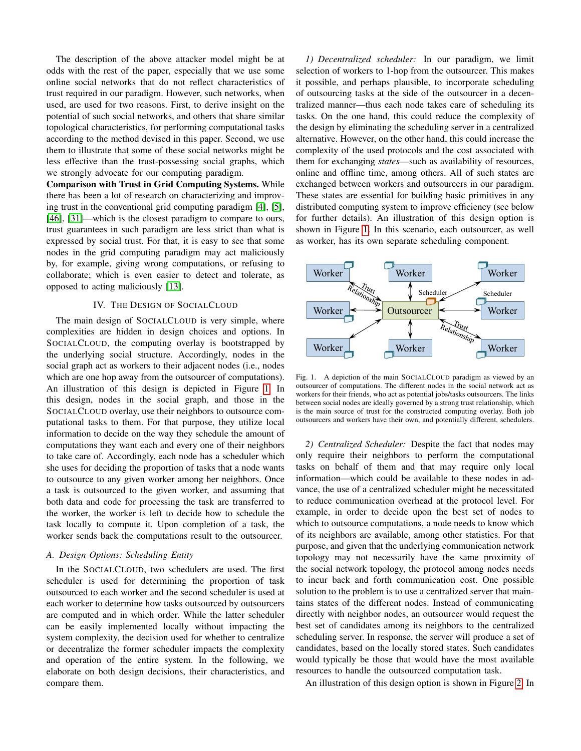The description of the above attacker model might be at odds with the rest of the paper, especially that we use some online social networks that do not reflect characteristics of trust required in our paradigm. However, such networks, when used, are used for two reasons. First, to derive insight on the potential of such social networks, and others that share similar topological characteristics, for performing computational tasks according to the method devised in this paper. Second, we use them to illustrate that some of these social networks might be less effective than the trust-possessing social graphs, which we strongly advocate for our computing paradigm.

Comparison with Trust in Grid Computing Systems. While there has been a lot of research on characterizing and improving trust in the conventional grid computing paradigm [\[4\]](#page-10-40), [\[5\]](#page-10-41), [\[46\]](#page-10-42), [\[31\]](#page-10-43)—which is the closest paradigm to compare to ours, trust guarantees in such paradigm are less strict than what is expressed by social trust. For that, it is easy to see that some nodes in the grid computing paradigm may act maliciously by, for example, giving wrong computations, or refusing to collaborate; which is even easier to detect and tolerate, as opposed to acting maliciously [\[13\]](#page-10-44).

### IV. THE DESIGN OF SOCIALCLOUD

<span id="page-3-0"></span>The main design of SOCIALCLOUD is very simple, where complexities are hidden in design choices and options. In SOCIALCLOUD, the computing overlay is bootstrapped by the underlying social structure. Accordingly, nodes in the social graph act as workers to their adjacent nodes (i.e., nodes which are one hop away from the outsourcer of computations). An illustration of this design is depicted in Figure [1.](#page-3-1) In this design, nodes in the social graph, and those in the SOCIALCLOUD overlay, use their neighbors to outsource computational tasks to them. For that purpose, they utilize local information to decide on the way they schedule the amount of computations they want each and every one of their neighbors to take care of. Accordingly, each node has a scheduler which she uses for deciding the proportion of tasks that a node wants to outsource to any given worker among her neighbors. Once a task is outsourced to the given worker, and assuming that both data and code for processing the task are transferred to the worker, the worker is left to decide how to schedule the task locally to compute it. Upon completion of a task, the worker sends back the computations result to the outsourcer.

#### *A. Design Options: Scheduling Entity*

In the SOCIALCLOUD, two schedulers are used. The first scheduler is used for determining the proportion of task outsourced to each worker and the second scheduler is used at each worker to determine how tasks outsourced by outsourcers are computed and in which order. While the latter scheduler can be easily implemented locally without impacting the system complexity, the decision used for whether to centralize or decentralize the former scheduler impacts the complexity and operation of the entire system. In the following, we elaborate on both design decisions, their characteristics, and compare them.

*1) Decentralized scheduler:* In our paradigm, we limit selection of workers to 1-hop from the outsourcer. This makes it possible, and perhaps plausible, to incorporate scheduling of outsourcing tasks at the side of the outsourcer in a decentralized manner—thus each node takes care of scheduling its tasks. On the one hand, this could reduce the complexity of the design by eliminating the scheduling server in a centralized alternative. However, on the other hand, this could increase the complexity of the used protocols and the cost associated with them for exchanging *states*—such as availability of resources, online and offline time, among others. All of such states are exchanged between workers and outsourcers in our paradigm. These states are essential for building basic primitives in any distributed computing system to improve efficiency (see below for further details). An illustration of this design option is shown in Figure [1.](#page-3-1) In this scenario, each outsourcer, as well as worker, has its own separate scheduling component.



<span id="page-3-1"></span>Fig. 1. A depiction of the main SOCIALCLOUD paradigm as viewed by an outsourcer of computations. The different nodes in the social network act as workers for their friends, who act as potential jobs/tasks outsourcers. The links between social nodes are ideally governed by a strong trust relationship, which is the main source of trust for the constructed computing overlay. Both job outsourcers and workers have their own, and potentially different, schedulers.

*2) Centralized Scheduler:* Despite the fact that nodes may only require their neighbors to perform the computational tasks on behalf of them and that may require only local information—which could be available to these nodes in advance, the use of a centralized scheduler might be necessitated to reduce communication overhead at the protocol level. For example, in order to decide upon the best set of nodes to which to outsource computations, a node needs to know which of its neighbors are available, among other statistics. For that purpose, and given that the underlying communication network topology may not necessarily have the same proximity of the social network topology, the protocol among nodes needs to incur back and forth communication cost. One possible solution to the problem is to use a centralized server that maintains states of the different nodes. Instead of communicating directly with neighbor nodes, an outsourcer would request the best set of candidates among its neighbors to the centralized scheduling server. In response, the server will produce a set of candidates, based on the locally stored states. Such candidates would typically be those that would have the most available resources to handle the outsourced computation task.

An illustration of this design option is shown in Figure [2.](#page-4-1) In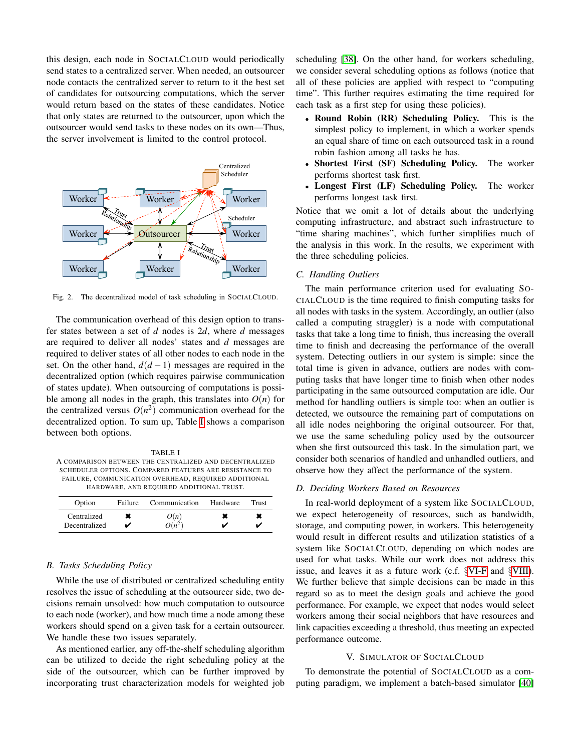this design, each node in SOCIALCLOUD would periodically send states to a centralized server. When needed, an outsourcer node contacts the centralized server to return to it the best set of candidates for outsourcing computations, which the server would return based on the states of these candidates. Notice that only states are returned to the outsourcer, upon which the outsourcer would send tasks to these nodes on its own—Thus, the server involvement is limited to the control protocol.



<span id="page-4-1"></span>Fig. 2. The decentralized model of task scheduling in SOCIALCLOUD.

The communication overhead of this design option to transfer states between a set of *d* nodes is 2*d*, where *d* messages are required to deliver all nodes' states and *d* messages are required to deliver states of all other nodes to each node in the set. On the other hand,  $d(d-1)$  messages are required in the decentralized option (which requires pairwise communication of states update). When outsourcing of computations is possible among all nodes in the graph, this translates into  $O(n)$  for the centralized versus  $O(n^2)$  communication overhead for the decentralized option. To sum up, Table [I](#page-4-2) shows a comparison between both options.

<span id="page-4-2"></span>TABLE I A COMPARISON BETWEEN THE CENTRALIZED AND DECENTRALIZED SCHEDULER OPTIONS. COMPARED FEATURES ARE RESISTANCE TO FAILURE, COMMUNICATION OVERHEAD, REQUIRED ADDITIONAL HARDWARE, AND REQUIRED ADDITIONAL TRUST.

| Option        | Failure | Communication | Hardware | Trust |
|---------------|---------|---------------|----------|-------|
| Centralized   |         | O(n)          |          |       |
| Decentralized |         | $O(n^2)$      |          |       |

#### <span id="page-4-4"></span>*B. Tasks Scheduling Policy*

While the use of distributed or centralized scheduling entity resolves the issue of scheduling at the outsourcer side, two decisions remain unsolved: how much computation to outsource to each node (worker), and how much time a node among these workers should spend on a given task for a certain outsourcer. We handle these two issues separately.

As mentioned earlier, any off-the-shelf scheduling algorithm can be utilized to decide the right scheduling policy at the side of the outsourcer, which can be further improved by incorporating trust characterization models for weighted job scheduling [\[38\]](#page-10-30). On the other hand, for workers scheduling, we consider several scheduling options as follows (notice that all of these policies are applied with respect to "computing time". This further requires estimating the time required for each task as a first step for using these policies).

- Round Robin (RR) Scheduling Policy. This is the simplest policy to implement, in which a worker spends an equal share of time on each outsourced task in a round robin fashion among all tasks he has.
- Shortest First (SF) Scheduling Policy. The worker performs shortest task first.
- Longest First (LF) Scheduling Policy. The worker performs longest task first.

Notice that we omit a lot of details about the underlying computing infrastructure, and abstract such infrastructure to "time sharing machines", which further simplifies much of the analysis in this work. In the results, we experiment with the three scheduling policies.

#### <span id="page-4-3"></span>*C. Handling Outliers*

The main performance criterion used for evaluating SO-CIALCLOUD is the time required to finish computing tasks for all nodes with tasks in the system. Accordingly, an outlier (also called a computing straggler) is a node with computational tasks that take a long time to finish, thus increasing the overall time to finish and decreasing the performance of the overall system. Detecting outliers in our system is simple: since the total time is given in advance, outliers are nodes with computing tasks that have longer time to finish when other nodes participating in the same outsourced computation are idle. Our method for handling outliers is simple too: when an outlier is detected, we outsource the remaining part of computations on all idle nodes neighboring the original outsourcer. For that, we use the same scheduling policy used by the outsourcer when she first outsourced this task. In the simulation part, we consider both scenarios of handled and unhandled outliers, and observe how they affect the performance of the system.

#### *D. Deciding Workers Based on Resources*

In real-world deployment of a system like SOCIALCLOUD, we expect heterogeneity of resources, such as bandwidth, storage, and computing power, in workers. This heterogeneity would result in different results and utilization statistics of a system like SOCIALCLOUD, depending on which nodes are used for what tasks. While our work does not address this issue, and leaves it as a future work (c.f. §[VI-F](#page-8-2) and §[VIII\)](#page-8-1). We further believe that simple decisions can be made in this regard so as to meet the design goals and achieve the good performance. For example, we expect that nodes would select workers among their social neighbors that have resources and link capacities exceeding a threshold, thus meeting an expected performance outcome.

#### V. SIMULATOR OF SOCIALCLOUD

<span id="page-4-0"></span>To demonstrate the potential of SOCIALCLOUD as a computing paradigm, we implement a batch-based simulator [\[40\]](#page-10-17)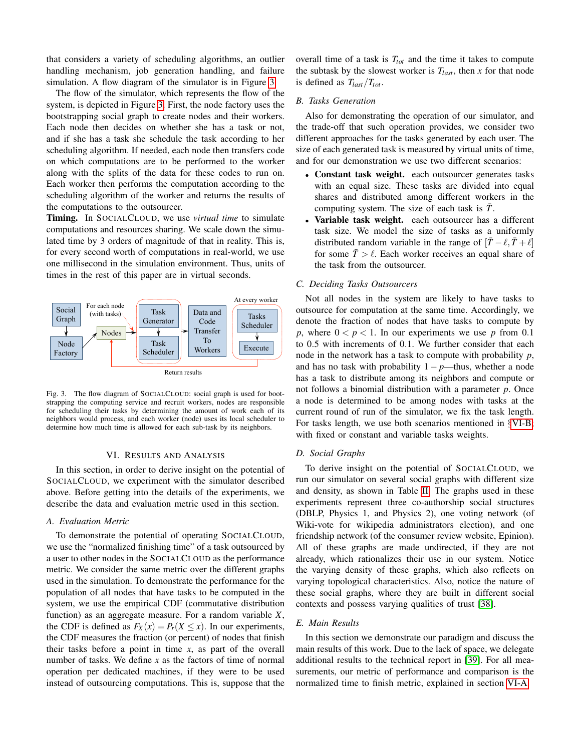that considers a variety of scheduling algorithms, an outlier handling mechanism, job generation handling, and failure simulation. A flow diagram of the simulator is in Figure [3.](#page-5-1)

The flow of the simulator, which represents the flow of the system, is depicted in Figure [3.](#page-5-1) First, the node factory uses the bootstrapping social graph to create nodes and their workers. Each node then decides on whether she has a task or not, and if she has a task she schedule the task according to her scheduling algorithm. If needed, each node then transfers code on which computations are to be performed to the worker along with the splits of the data for these codes to run on. Each worker then performs the computation according to the scheduling algorithm of the worker and returns the results of the computations to the outsourcer.

Timing. In SOCIALCLOUD, we use *virtual time* to simulate computations and resources sharing. We scale down the simulated time by 3 orders of magnitude of that in reality. This is, for every second worth of computations in real-world, we use one millisecond in the simulation environment. Thus, units of times in the rest of this paper are in virtual seconds.



<span id="page-5-1"></span>Fig. 3. The flow diagram of SOCIALCLOUD: social graph is used for bootstrapping the computing service and recruit workers, nodes are responsible for scheduling their tasks by determining the amount of work each of its neighbors would process, and each worker (node) uses its local scheduler to determine how much time is allowed for each sub-task by its neighbors.

#### VI. RESULTS AND ANALYSIS

<span id="page-5-0"></span>In this section, in order to derive insight on the potential of SOCIALCLOUD, we experiment with the simulator described above. Before getting into the details of the experiments, we describe the data and evaluation metric used in this section.

#### <span id="page-5-3"></span>*A. Evaluation Metric*

To demonstrate the potential of operating SOCIALCLOUD, we use the "normalized finishing time" of a task outsourced by a user to other nodes in the SOCIALCLOUD as the performance metric. We consider the same metric over the different graphs used in the simulation. To demonstrate the performance for the population of all nodes that have tasks to be computed in the system, we use the empirical CDF (commutative distribution function) as an aggregate measure. For a random variable *X*, the CDF is defined as  $F_X(x) = P_r(X \le x)$ . In our experiments, the CDF measures the fraction (or percent) of nodes that finish their tasks before a point in time *x*, as part of the overall number of tasks. We define *x* as the factors of time of normal operation per dedicated machines, if they were to be used instead of outsourcing computations. This is, suppose that the overall time of a task is *Ttot* and the time it takes to compute the subtask by the slowest worker is  $T_{last}$ , then *x* for that node is defined as *Tlast*/*Ttot*.

#### <span id="page-5-2"></span>*B. Tasks Generation*

Also for demonstrating the operation of our simulator, and the trade-off that such operation provides, we consider two different approaches for the tasks generated by each user. The size of each generated task is measured by virtual units of time, and for our demonstration we use two different scenarios:

- Constant task weight. each outsourcer generates tasks with an equal size. These tasks are divided into equal shares and distributed among different workers in the computing system. The size of each task is  $\bar{T}$ .
- Variable task weight. each outsourcer has a different task size. We model the size of tasks as a uniformly distributed random variable in the range of  $[\overline{T} - \ell, \overline{T} + \ell]$ for some  $\bar{T} > l$ . Each worker receives an equal share of the task from the outsourcer.

#### *C. Deciding Tasks Outsourcers*

Not all nodes in the system are likely to have tasks to outsource for computation at the same time. Accordingly, we denote the fraction of nodes that have tasks to compute by *p*, where  $0 < p < 1$ . In our experiments we use *p* from 0.1 to 0.5 with increments of 0.1. We further consider that each node in the network has a task to compute with probability *p*, and has no task with probability 1− *p*—thus, whether a node has a task to distribute among its neighbors and compute or not follows a binomial distribution with a parameter *p*. Once a node is determined to be among nodes with tasks at the current round of run of the simulator, we fix the task length. For tasks length, we use both scenarios mentioned in §[VI-B;](#page-5-2) with fixed or constant and variable tasks weights.

### *D. Social Graphs*

To derive insight on the potential of SOCIALCLOUD, we run our simulator on several social graphs with different size and density, as shown in Table [II.](#page-6-0) The graphs used in these experiments represent three co-authorship social structures (DBLP, Physics 1, and Physics 2), one voting network (of Wiki-vote for wikipedia administrators election), and one friendship network (of the consumer review website, Epinion). All of these graphs are made undirected, if they are not already, which rationalizes their use in our system. Notice the varying density of these graphs, which also reflects on varying topological characteristics. Also, notice the nature of these social graphs, where they are built in different social contexts and possess varying qualities of trust [\[38\]](#page-10-30).

#### *E. Main Results*

In this section we demonstrate our paradigm and discuss the main results of this work. Due to the lack of space, we delegate additional results to the technical report in [\[39\]](#page-10-45). For all measurements, our metric of performance and comparison is the normalized time to finish metric, explained in section [VI-A.](#page-5-3)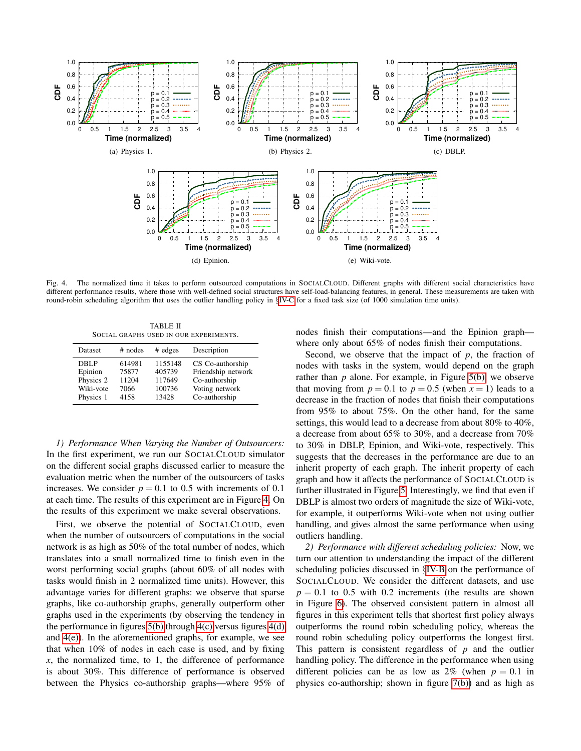

<span id="page-6-1"></span>Fig. 4. The normalized time it takes to perform outsourced computations in SOCIALCLOUD. Different graphs with different social characteristics have different performance results, where those with well-defined social structures have self-load-balancing features, in general. These measurements are taken with round-robin scheduling algorithm that uses the outlier handling policy in §[IV-C](#page-4-3) for a fixed task size (of 1000 simulation time units).

<span id="page-6-3"></span>TABLE II SOCIAL GRAPHS USED IN OUR EXPERIMENTS.

<span id="page-6-0"></span>

| Dataset   | $#$ nodes | $#$ edges | Description        |
|-----------|-----------|-----------|--------------------|
| DBLP      | 614981    | 1155148   | CS Co-authorship   |
| Epinion   | 75877     | 405739    | Friendship network |
| Physics 2 | 11204     | 117649    | Co-authorship      |
| Wiki-vote | 7066      | 100736    | Voting network     |
| Physics 1 | 4158      | 13428     | Co-authorship      |

*1) Performance When Varying the Number of Outsourcers:* In the first experiment, we run our SOCIALCLOUD simulator on the different social graphs discussed earlier to measure the evaluation metric when the number of the outsourcers of tasks increases. We consider  $p = 0.1$  to 0.5 with increments of 0.1 at each time. The results of this experiment are in Figure [4.](#page-6-1) On the results of this experiment we make several observations.

First, we observe the potential of SOCIALCLOUD, even when the number of outsourcers of computations in the social network is as high as 50% of the total number of nodes, which translates into a small normalized time to finish even in the worst performing social graphs (about 60% of all nodes with tasks would finish in 2 normalized time units). However, this advantage varies for different graphs: we observe that sparse graphs, like co-authorship graphs, generally outperform other graphs used in the experiments (by observing the tendency in the performance in figures [5\(b\)](#page-7-0) through [4\(c\)](#page-6-2) versus figures [4\(d\)](#page-6-3) and [4\(e\)\)](#page-6-4). In the aforementioned graphs, for example, we see that when 10% of nodes in each case is used, and by fixing *x*, the normalized time, to 1, the difference of performance is about 30%. This difference of performance is observed between the Physics co-authorship graphs—where 95% of <span id="page-6-4"></span><span id="page-6-2"></span>nodes finish their computations—and the Epinion graph where only about 65% of nodes finish their computations.

Second, we observe that the impact of  $p$ , the fraction of nodes with tasks in the system, would depend on the graph rather than *p* alone. For example, in Figure [5\(b\),](#page-7-0) we observe that moving from  $p = 0.1$  to  $p = 0.5$  (when  $x = 1$ ) leads to a decrease in the fraction of nodes that finish their computations from 95% to about 75%. On the other hand, for the same settings, this would lead to a decrease from about 80% to 40%, a decrease from about 65% to 30%, and a decrease from 70% to 30% in DBLP, Epinion, and Wiki-vote, respectively. This suggests that the decreases in the performance are due to an inherit property of each graph. The inherit property of each graph and how it affects the performance of SOCIALCLOUD is further illustrated in Figure [5.](#page-7-1) Interestingly, we find that even if DBLP is almost two orders of magnitude the size of Wiki-vote, for example, it outperforms Wiki-vote when not using outlier handling, and gives almost the same performance when using outliers handling.

*2) Performance with different scheduling policies:* Now, we turn our attention to understanding the impact of the different scheduling policies discussed in §[IV-B](#page-4-4) on the performance of SOCIALCLOUD. We consider the different datasets, and use  $p = 0.1$  to 0.5 with 0.2 increments (the results are shown in Figure [6\)](#page-7-2). The observed consistent pattern in almost all figures in this experiment tells that shortest first policy always outperforms the round robin scheduling policy, whereas the round robin scheduling policy outperforms the longest first. This pattern is consistent regardless of *p* and the outlier handling policy. The difference in the performance when using different policies can be as low as  $2\%$  (when  $p = 0.1$  in physics co-authorship; shown in figure [7\(b\)\)](#page-9-3) and as high as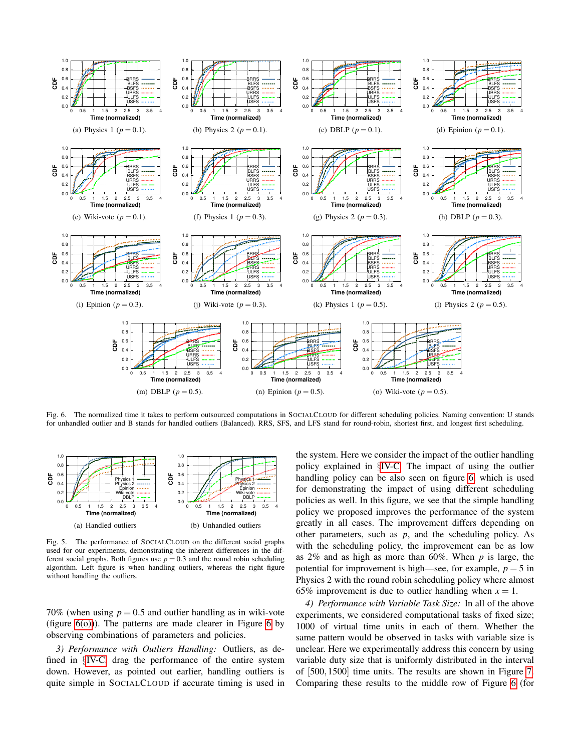

<span id="page-7-2"></span>Fig. 6. The normalized time it takes to perform outsourced computations in SOCIALCLOUD for different scheduling policies. Naming convention: U stands for unhandled outlier and B stands for handled outliers (Balanced). RRS, SFS, and LFS stand for round-robin, shortest first, and longest first scheduling.



<span id="page-7-1"></span><span id="page-7-0"></span>Fig. 5. The performance of SOCIALCLOUD on the different social graphs used for our experiments, demonstrating the inherent differences in the different social graphs. Both figures use  $p = 0.3$  and the round robin scheduling algorithm. Left figure is when handling outliers, whereas the right figure without handling the outliers.

70% (when using  $p = 0.5$  and outlier handling as in wiki-vote (figure  $6(0)$ )). The patterns are made clearer in Figure [6](#page-7-2) by observing combinations of parameters and policies.

*3) Performance with Outliers Handling:* Outliers, as defined in §[IV-C,](#page-4-3) drag the performance of the entire system down. However, as pointed out earlier, handling outliers is quite simple in SOCIALCLOUD if accurate timing is used in

<span id="page-7-3"></span>the system. Here we consider the impact of the outlier handling policy explained in §[IV-C.](#page-4-3) The impact of using the outlier handling policy can be also seen on figure [6,](#page-7-2) which is used for demonstrating the impact of using different scheduling policies as well. In this figure, we see that the simple handling policy we proposed improves the performance of the system greatly in all cases. The improvement differs depending on other parameters, such as *p*, and the scheduling policy. As with the scheduling policy, the improvement can be as low as 2% and as high as more than 60%. When *p* is large, the potential for improvement is high—see, for example,  $p = 5$  in Physics 2 with the round robin scheduling policy where almost 65% improvement is due to outlier handling when  $x = 1$ .

*4) Performance with Variable Task Size:* In all of the above experiments, we considered computational tasks of fixed size; 1000 of virtual time units in each of them. Whether the same pattern would be observed in tasks with variable size is unclear. Here we experimentally address this concern by using variable duty size that is uniformly distributed in the interval of [500,1500] time units. The results are shown in Figure [7.](#page-9-4) Comparing these results to the middle row of Figure [6](#page-7-2) (for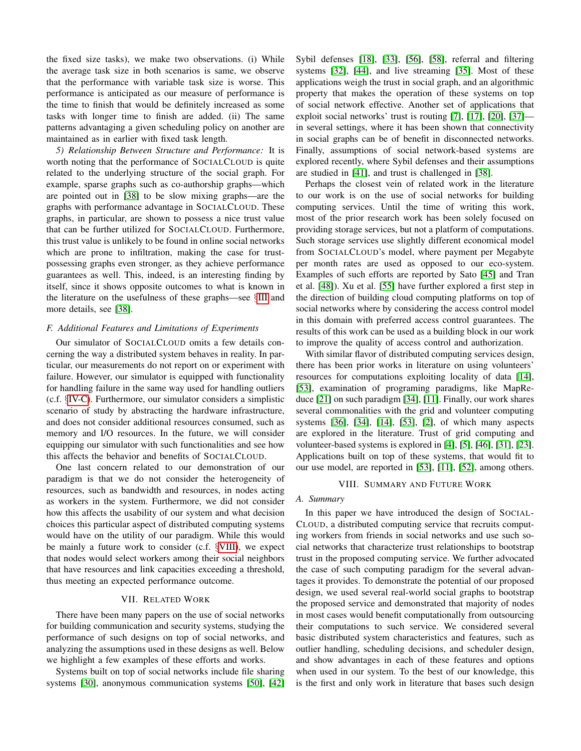the fixed size tasks), we make two observations. (i) While the average task size in both scenarios is same, we observe that the performance with variable task size is worse. This performance is anticipated as our measure of performance is the time to finish that would be definitely increased as some tasks with longer time to finish are added. (ii) The same patterns advantaging a given scheduling policy on another are maintained as in earlier with fixed task length.

*5) Relationship Between Structure and Performance:* It is worth noting that the performance of SOCIALCLOUD is quite related to the underlying structure of the social graph. For example, sparse graphs such as co-authorship graphs—which are pointed out in [\[38\]](#page-10-30) to be slow mixing graphs—are the graphs with performance advantage in SOCIALCLOUD. These graphs, in particular, are shown to possess a nice trust value that can be further utilized for SOCIALCLOUD. Furthermore, this trust value is unlikely to be found in online social networks which are prone to infiltration, making the case for trustpossessing graphs even stronger, as they achieve performance guarantees as well. This, indeed, is an interesting finding by itself, since it shows opposite outcomes to what is known in the literature on the usefulness of these graphs—see §[III](#page-1-1) and more details, see [\[38\]](#page-10-30).

#### <span id="page-8-2"></span>*F. Additional Features and Limitations of Experiments*

Our simulator of SOCIALCLOUD omits a few details concerning the way a distributed system behaves in reality. In particular, our measurements do not report on or experiment with failure. However, our simulator is equipped with functionality for handling failure in the same way used for handling outliers (c.f. §[IV-C\)](#page-4-3). Furthermore, our simulator considers a simplistic scenario of study by abstracting the hardware infrastructure, and does not consider additional resources consumed, such as memory and I/O resources. In the future, we will consider equipping our simulator with such functionalities and see how this affects the behavior and benefits of SOCIALCLOUD.

One last concern related to our demonstration of our paradigm is that we do not consider the heterogeneity of resources, such as bandwidth and resources, in nodes acting as workers in the system. Furthermore, we did not consider how this affects the usability of our system and what decision choices this particular aspect of distributed computing systems would have on the utility of our paradigm. While this would be mainly a future work to consider (c.f. §[VIII\)](#page-8-1), we expect that nodes would select workers among their social neighbors that have resources and link capacities exceeding a threshold, thus meeting an expected performance outcome.

#### VII. RELATED WORK

<span id="page-8-0"></span>There have been many papers on the use of social networks for building communication and security systems, studying the performance of such designs on top of social networks, and analyzing the assumptions used in these designs as well. Below we highlight a few examples of these efforts and works.

Systems built on top of social networks include file sharing systems [\[30\]](#page-10-35), anonymous communication systems [\[50\]](#page-10-46), [\[42\]](#page-10-36) Sybil defenses [\[18\]](#page-10-20), [\[33\]](#page-10-37), [\[56\]](#page-10-47), [\[58\]](#page-10-19), referral and filtering systems [\[32\]](#page-10-48), [\[44\]](#page-10-49), and live streaming [\[35\]](#page-10-50). Most of these applications weigh the trust in social graph, and an algorithmic property that makes the operation of these systems on top of social network effective. Another set of applications that exploit social networks' trust is routing [\[7\]](#page-10-22), [\[17\]](#page-10-23), [\[20\]](#page-10-26), [\[37\]](#page-10-27) in several settings, where it has been shown that connectivity in social graphs can be of benefit in disconnected networks. Finally, assumptions of social network-based systems are explored recently, where Sybil defenses and their assumptions are studied in [\[41\]](#page-10-51), and trust is challenged in [\[38\]](#page-10-30).

Perhaps the closest vein of related work in the literature to our work is on the use of social networks for building computing services. Until the time of writing this work, most of the prior research work has been solely focused on providing storage services, but not a platform of computations. Such storage services use slightly different economical model from SOCIALCLOUD's model, where payment per Megabyte per month rates are used as opposed to our eco-system. Examples of such efforts are reported by Sato [\[45\]](#page-10-52) and Tran et al. [\[48\]](#page-10-53)). Xu et al. [\[55\]](#page-10-18) have further explored a first step in the direction of building cloud computing platforms on top of social networks where by considering the access control model in this domain with preferred access control guarantees. The results of this work can be used as a building block in our work to improve the quality of access control and authorization.

With similar flavor of distributed computing services design, there has been prior works in literature on using volunteers' resources for computations exploiting locality of data [\[14\]](#page-10-16), [\[53\]](#page-10-15), examination of programing paradigms, like MapReduce [\[21\]](#page-10-7) on such paradigm [\[34\]](#page-10-32), [\[11\]](#page-10-33). Finally, our work shares several commonalities with the grid and volunteer computing systems [\[36\]](#page-10-31), [\[34\]](#page-10-32), [\[14\]](#page-10-16), [\[53\]](#page-10-15), [\[2\]](#page-9-2), of which many aspects are explored in the literature. Trust of grid computing and volunteer-based systems is explored in [\[4\]](#page-10-40), [\[5\]](#page-10-41), [\[46\]](#page-10-42), [\[31\]](#page-10-43), [\[23\]](#page-10-54). Applications built on top of these systems, that would fit to our use model, are reported in [\[53\]](#page-10-15), [\[11\]](#page-10-33), [\[52\]](#page-10-34), among others.

#### VIII. SUMMARY AND FUTURE WORK

## <span id="page-8-1"></span>*A. Summary*

In this paper we have introduced the design of SOCIAL-CLOUD, a distributed computing service that recruits computing workers from friends in social networks and use such social networks that characterize trust relationships to bootstrap trust in the proposed computing service. We further advocated the case of such computing paradigm for the several advantages it provides. To demonstrate the potential of our proposed design, we used several real-world social graphs to bootstrap the proposed service and demonstrated that majority of nodes in most cases would benefit computationally from outsourcing their computations to such service. We considered several basic distributed system characteristics and features, such as outlier handling, scheduling decisions, and scheduler design, and show advantages in each of these features and options when used in our system. To the best of our knowledge, this is the first and only work in literature that bases such design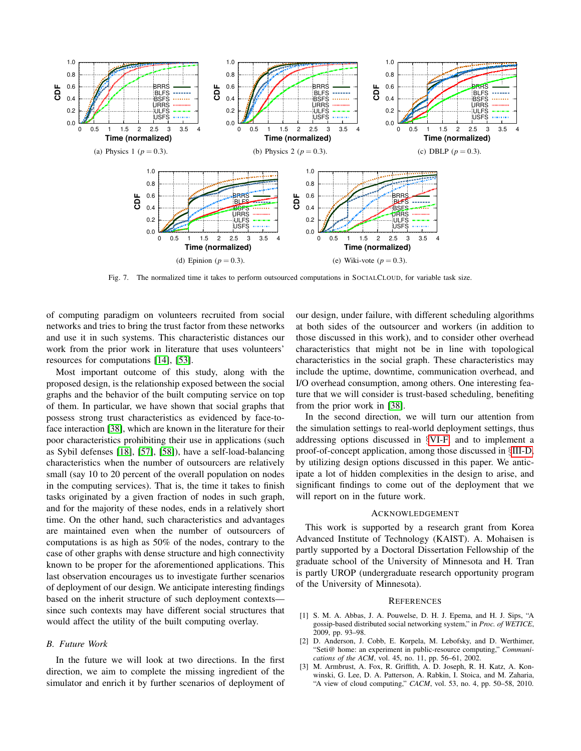

<span id="page-9-4"></span><span id="page-9-3"></span>Fig. 7. The normalized time it takes to perform outsourced computations in SOCIALCLOUD, for variable task size.

of computing paradigm on volunteers recruited from social networks and tries to bring the trust factor from these networks and use it in such systems. This characteristic distances our work from the prior work in literature that uses volunteers' resources for computations [\[14\]](#page-10-16), [\[53\]](#page-10-15).

Most important outcome of this study, along with the proposed design, is the relationship exposed between the social graphs and the behavior of the built computing service on top of them. In particular, we have shown that social graphs that possess strong trust characteristics as evidenced by face-toface interaction [\[38\]](#page-10-30), which are known in the literature for their poor characteristics prohibiting their use in applications (such as Sybil defenses [\[18\]](#page-10-20), [\[57\]](#page-10-21), [\[58\]](#page-10-19)), have a self-load-balancing characteristics when the number of outsourcers are relatively small (say 10 to 20 percent of the overall population on nodes in the computing services). That is, the time it takes to finish tasks originated by a given fraction of nodes in such graph, and for the majority of these nodes, ends in a relatively short time. On the other hand, such characteristics and advantages are maintained even when the number of outsourcers of computations is as high as 50% of the nodes, contrary to the case of other graphs with dense structure and high connectivity known to be proper for the aforementioned applications. This last observation encourages us to investigate further scenarios of deployment of our design. We anticipate interesting findings based on the inherit structure of such deployment contexts since such contexts may have different social structures that would affect the utility of the built computing overlay.

#### *B. Future Work*

In the future we will look at two directions. In the first direction, we aim to complete the missing ingredient of the simulator and enrich it by further scenarios of deployment of

our design, under failure, with different scheduling algorithms at both sides of the outsourcer and workers (in addition to those discussed in this work), and to consider other overhead characteristics that might not be in line with topological characteristics in the social graph. These characteristics may include the uptime, downtime, communication overhead, and I/O overhead consumption, among others. One interesting feature that we will consider is trust-based scheduling, benefiting from the prior work in [\[38\]](#page-10-30).

In the second direction, we will turn our attention from the simulation settings to real-world deployment settings, thus addressing options discussed in §[VI-F,](#page-8-2) and to implement a proof-of-concept application, among those discussed in §[III-D,](#page-2-1) by utilizing design options discussed in this paper. We anticipate a lot of hidden complexities in the design to arise, and significant findings to come out of the deployment that we will report on in the future work.

#### ACKNOWLEDGEMENT

This work is supported by a research grant from Korea Advanced Institute of Technology (KAIST). A. Mohaisen is partly supported by a Doctoral Dissertation Fellowship of the graduate school of the University of Minnesota and H. Tran is partly UROP (undergraduate research opportunity program of the University of Minnesota).

#### **REFERENCES**

- <span id="page-9-1"></span>[1] S. M. A. Abbas, J. A. Pouwelse, D. H. J. Epema, and H. J. Sips, "A gossip-based distributed social networking system," in *Proc. of WETICE*, 2009, pp. 93–98.
- <span id="page-9-2"></span>[2] D. Anderson, J. Cobb, E. Korpela, M. Lebofsky, and D. Werthimer, "Seti@ home: an experiment in public-resource computing," *Communications of the ACM*, vol. 45, no. 11, pp. 56–61, 2002.
- <span id="page-9-0"></span>[3] M. Armbrust, A. Fox, R. Griffith, A. D. Joseph, R. H. Katz, A. Konwinski, G. Lee, D. A. Patterson, A. Rabkin, I. Stoica, and M. Zaharia, "A view of cloud computing," *CACM*, vol. 53, no. 4, pp. 50–58, 2010.